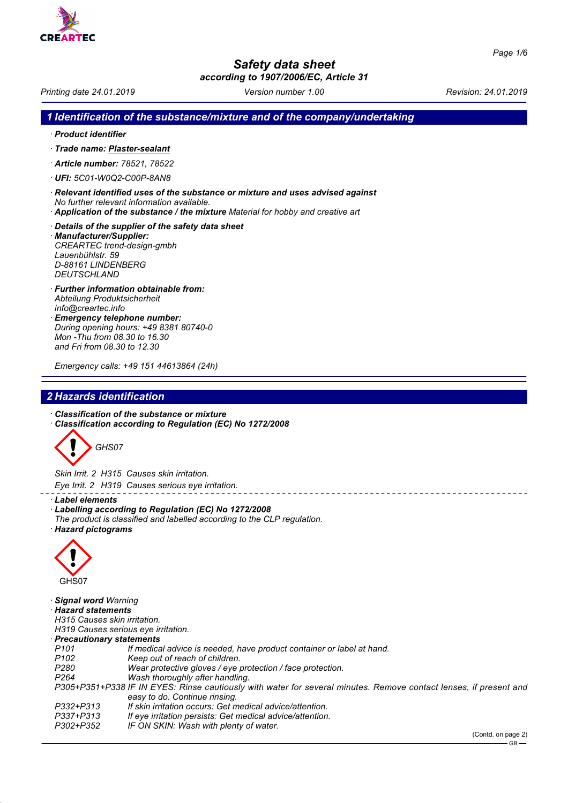

# *Safety data sheet*

*according to 1907/2006/EC, Article 31*

*Printing date 24.01.2019 Version number 1.00 Revision: 24.01.2019*

## *1 Identification of the substance/mixture and of the company/undertaking*

*· Product identifier*

*DEUTSCHLAND*

- *· Trade name: Plaster-sealant*
- *· Article number: 78521, 78522*
- *· UFI: 5C01-W0Q2-C00P-8AN8*
- *· Relevant identified uses of the substance or mixture and uses advised against No further relevant information available.*
- *· Application of the substance / the mixture Material for hobby and creative art*
- *· Details of the supplier of the safety data sheet · Manufacturer/Supplier: CREARTEC trend-design-gmbh Lauenbühlstr. 59 D-88161 LINDENBERG*
- *· Further information obtainable from: Abteilung Produktsicherheit info@creartec.info*
- *· Emergency telephone number: During opening hours: +49 8381 80740-0 Mon -Thu from 08.30 to 16.30 and Fri from 08.30 to 12.30*

*Emergency calls: +49 151 44613864 (24h)*

# *2 Hazards identification*

- *· Classification of the substance or mixture*
- *· Classification according to Regulation (EC) No 1272/2008*



*Skin Irrit. 2 H315 Causes skin irritation. Eye Irrit. 2 H319 Causes serious eye irritation.*

- *· Label elements*
- *· Labelling according to Regulation (EC) No 1272/2008*
- *The product is classified and labelled according to the CLP regulation.*
- *· Hazard pictograms*



*· Signal word Warning · Hazard statements H315 Causes skin irritation. H319 Causes serious eye irritation. · Precautionary statements P101 If medical advice is needed, have product container or label at hand. P102 Keep out of reach of children. P280 Wear protective gloves / eye protection / face protection. Wash thoroughly after handling. P305+P351+P338 IF IN EYES: Rinse cautiously with water for several minutes. Remove contact lenses, if present and easy to do. Continue rinsing. P332+P313 If skin irritation occurs: Get medical advice/attention. P337+P313 If eye irritation persists: Get medical advice/attention. IF ON SKIN: Wash with plenty of water.*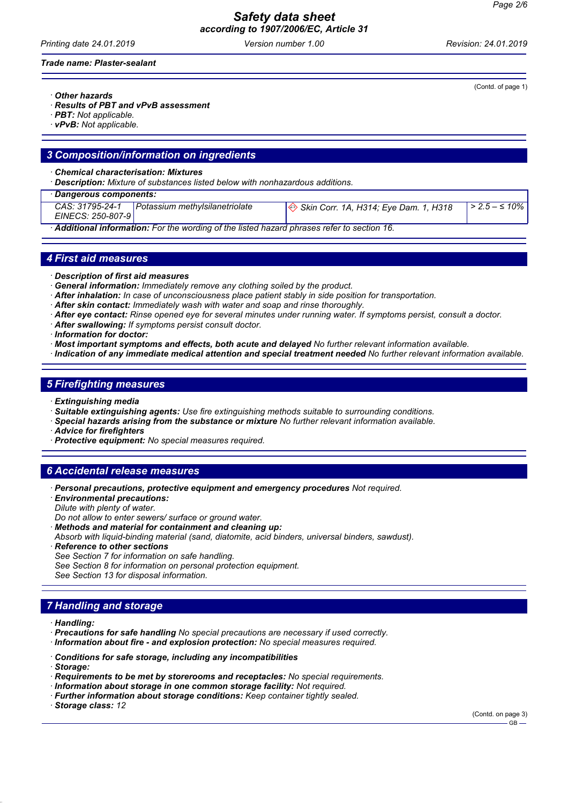*Safety data sheet according to 1907/2006/EC, Article 31*

*Printing date 24.01.2019 Version number 1.00 Revision: 24.01.2019*

*Trade name: Plaster-sealant*

*· Other hazards*

- *· Results of PBT and vPvB assessment*
- *· PBT: Not applicable.*
- *· vPvB: Not applicable.*

#### *3 Composition/information on ingredients*

*· Chemical characterisation: Mixtures*

*· Description: Mixture of substances listed below with nonhazardous additions.*

| $\cdot$ Dangerous components:                                                             |                                |                                       |                        |  |  |
|-------------------------------------------------------------------------------------------|--------------------------------|---------------------------------------|------------------------|--|--|
| CAS: 31795-24-1<br>EINECS: 250-807-9                                                      | Potassium methylsilanetriolate | Skin Corr. 1A, H314; Eye Dam. 1, H318 | $  > 2.5 - \leq 10\% $ |  |  |
| Additional information: For the wording of the listed hazard phrases refer to section 16. |                                |                                       |                        |  |  |

#### *4 First aid measures*

- *· Description of first aid measures*
- *· General information: Immediately remove any clothing soiled by the product.*
- *· After inhalation: In case of unconsciousness place patient stably in side position for transportation.*
- *· After skin contact: Immediately wash with water and soap and rinse thoroughly.*
- *· After eye contact: Rinse opened eye for several minutes under running water. If symptoms persist, consult a doctor.*
- *· After swallowing: If symptoms persist consult doctor.*
- *· Information for doctor:*
- *· Most important symptoms and effects, both acute and delayed No further relevant information available.*
- *· Indication of any immediate medical attention and special treatment needed No further relevant information available.*

## *5 Firefighting measures*

- *· Extinguishing media*
- *· Suitable extinguishing agents: Use fire extinguishing methods suitable to surrounding conditions.*
- *· Special hazards arising from the substance or mixture No further relevant information available.*
- *· Advice for firefighters*
- *· Protective equipment: No special measures required.*

## *6 Accidental release measures*

- *· Personal precautions, protective equipment and emergency procedures Not required.*
- *· Environmental precautions:*
- *Dilute with plenty of water.*
- *Do not allow to enter sewers/ surface or ground water.*
- *· Methods and material for containment and cleaning up:*
- *Absorb with liquid-binding material (sand, diatomite, acid binders, universal binders, sawdust).*
- *· Reference to other sections*
- *See Section 7 for information on safe handling.*
- *See Section 8 for information on personal protection equipment.*
- *See Section 13 for disposal information.*

## *7 Handling and storage*

- *· Handling:*
- *· Precautions for safe handling No special precautions are necessary if used correctly.*
- *· Information about fire and explosion protection: No special measures required.*
- *· Conditions for safe storage, including any incompatibilities*
- *· Storage:*
- *· Requirements to be met by storerooms and receptacles: No special requirements.*
- *· Information about storage in one common storage facility: Not required.*
- *· Further information about storage conditions: Keep container tightly sealed.*
- *· Storage class: 12*

(Contd. of page 1)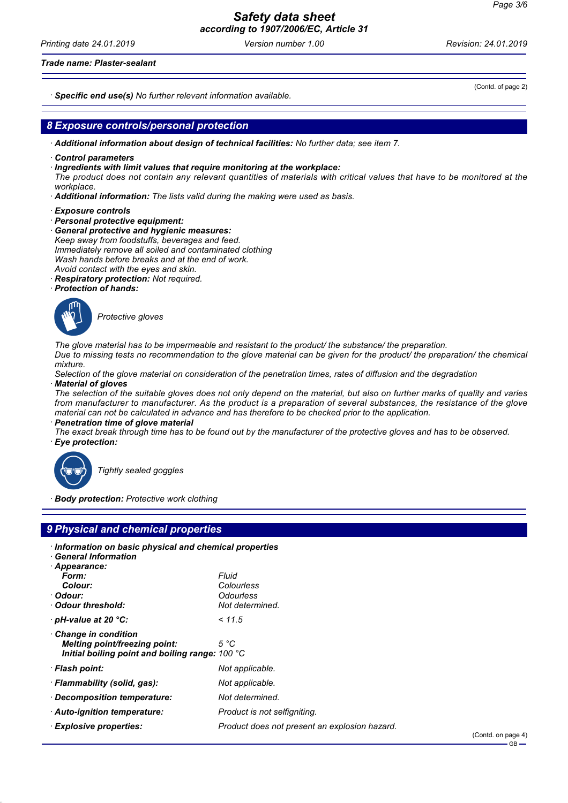*Printing date 24.01.2019 Version number 1.00 Revision: 24.01.2019*

#### *Trade name: Plaster-sealant*

*· Specific end use(s) No further relevant information available.*

#### *8 Exposure controls/personal protection*

- *· Additional information about design of technical facilities: No further data; see item 7.*
- *· Control parameters*
- *· Ingredients with limit values that require monitoring at the workplace:*
- *The product does not contain any relevant quantities of materials with critical values that have to be monitored at the workplace.*
- *· Additional information: The lists valid during the making were used as basis.*
- *· Exposure controls*
- *· Personal protective equipment:*
- *· General protective and hygienic measures: Keep away from foodstuffs, beverages and feed. Immediately remove all soiled and contaminated clothing Wash hands before breaks and at the end of work. Avoid contact with the eyes and skin.*
- *· Respiratory protection: Not required.*
- *· Protection of hands:*



\_S*Protective gloves*

*The glove material has to be impermeable and resistant to the product/ the substance/ the preparation. Due to missing tests no recommendation to the glove material can be given for the product/ the preparation/ the chemical mixture.*

*Selection of the glove material on consideration of the penetration times, rates of diffusion and the degradation · Material of gloves*

*The selection of the suitable gloves does not only depend on the material, but also on further marks of quality and varies from manufacturer to manufacturer. As the product is a preparation of several substances, the resistance of the glove material can not be calculated in advance and has therefore to be checked prior to the application. · Penetration time of glove material*

*The exact break through time has to be found out by the manufacturer of the protective gloves and has to be observed. · Eye protection:*



\_R*Tightly sealed goggles*

*· Body protection: Protective work clothing*

# *9 Physical and chemical properties*

| Information on basic physical and chemical properties          |
|----------------------------------------------------------------|
|                                                                |
| Fluid<br>Colourless                                            |
| Odourless                                                      |
| Not determined.                                                |
| < 11.5                                                         |
| 5 °C<br>Initial boiling point and boiling range: $100 °C$      |
| Not applicable.                                                |
| Not applicable.                                                |
| Not determined.                                                |
| Product is not selfigniting.                                   |
| Product does not present an explosion hazard.<br>$\sim$ $\sim$ |
|                                                                |

(Contd. of page 2)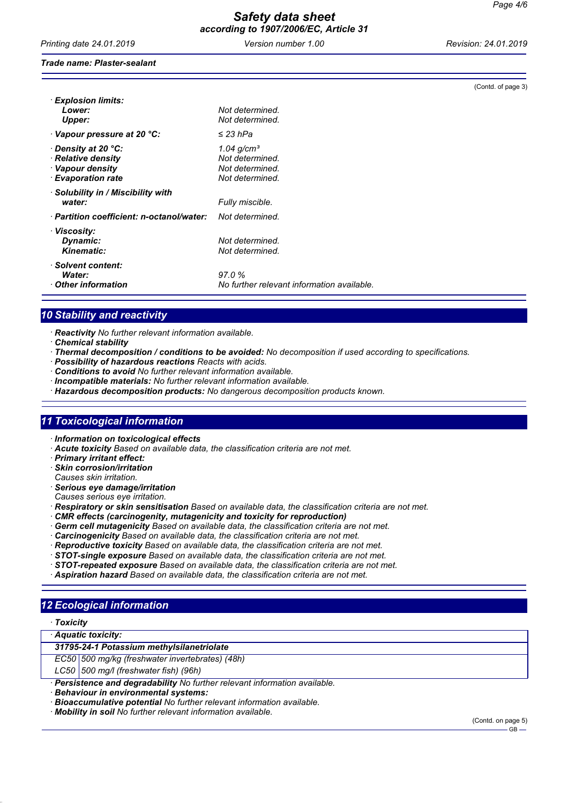*Printing date 24.01.2019 Version number 1.00 Revision: 24.01.2019*

(Contd. of page 3)

#### *Trade name: Plaster-sealant*

| <b>Explosion limits:</b><br>Lower:<br>Upper:                                                             | Not determined.<br>Not determined.                                       |
|----------------------------------------------------------------------------------------------------------|--------------------------------------------------------------------------|
| $\cdot$ Vapour pressure at 20 °C:                                                                        | $\leq$ 23 hPa                                                            |
| $\cdot$ Density at 20 $^{\circ}$ C:<br>· Relative density<br>· Vapour density<br><b>Evaporation rate</b> | 1.04 $g/cm^{3}$<br>Not determined.<br>Not determined.<br>Not determined. |
| $\cdot$ Solubility in / Miscibility with<br>water:                                                       | Fully miscible.                                                          |
| $\cdot$ Partition coefficient: n-octanol/water:                                                          | Not determined.                                                          |
| · Viscosity:<br>Dynamic:<br><b>Kinematic:</b>                                                            | Not determined.<br>Not determined.                                       |
| · Solvent content:<br>Water:<br>Other information                                                        | 97.0%<br>No further relevant information available.                      |

# *10 Stability and reactivity*

*· Reactivity No further relevant information available.*

- *· Chemical stability*
- *· Thermal decomposition / conditions to be avoided: No decomposition if used according to specifications.*
- *· Possibility of hazardous reactions Reacts with acids.*
- *· Conditions to avoid No further relevant information available.*
- *· Incompatible materials: No further relevant information available.*
- *· Hazardous decomposition products: No dangerous decomposition products known.*

## *11 Toxicological information*

- *· Information on toxicological effects*
- *· Acute toxicity Based on available data, the classification criteria are not met.*
- *· Primary irritant effect:*
- *· Skin corrosion/irritation*
- *Causes skin irritation.*
- *· Serious eye damage/irritation*
- *Causes serious eye irritation.*
- *· Respiratory or skin sensitisation Based on available data, the classification criteria are not met.*
- *· CMR effects (carcinogenity, mutagenicity and toxicity for reproduction)*
- *· Germ cell mutagenicity Based on available data, the classification criteria are not met.*
- *· Carcinogenicity Based on available data, the classification criteria are not met.*
- *· Reproductive toxicity Based on available data, the classification criteria are not met.*
- *· STOT-single exposure Based on available data, the classification criteria are not met.*
- *· STOT-repeated exposure Based on available data, the classification criteria are not met.*
- *· Aspiration hazard Based on available data, the classification criteria are not met.*

# *12 Ecological information*

| <b>Toxicity</b> |  |
|-----------------|--|
|-----------------|--|

| · Aquatic toxicity: |  |  |
|---------------------|--|--|
|---------------------|--|--|

*31795-24-1 Potassium methylsilanetriolate*

*EC50 500 mg/kg (freshwater invertebrates) (48h)*

- *LC50 500 mg/l (freshwater fish) (96h)*
- *· Persistence and degradability No further relevant information available.*
- *· Behaviour in environmental systems:*
- *· Bioaccumulative potential No further relevant information available.*
- *· Mobility in soil No further relevant information available.*

(Contd. on page 5)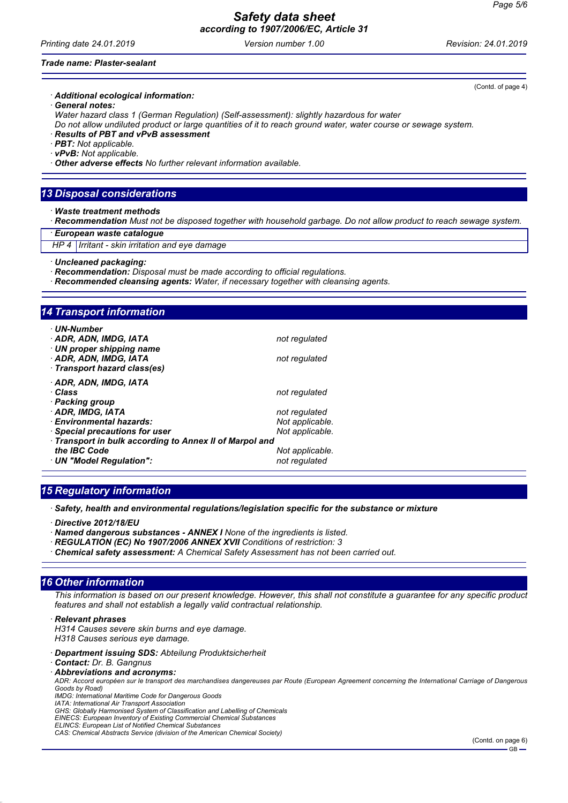#### *Safety data sheet according to 1907/2006/EC, Article 31*

*Printing date 24.01.2019 Version number 1.00 Revision: 24.01.2019*

#### *Trade name: Plaster-sealant*

#### *· Additional ecological information:*

*· General notes:*

*Water hazard class 1 (German Regulation) (Self-assessment): slightly hazardous for water Do not allow undiluted product or large quantities of it to reach ground water, water course or sewage system.*

*· Results of PBT and vPvB assessment*

- *· PBT: Not applicable.*
- *· vPvB: Not applicable.*

*· Other adverse effects No further relevant information available.*

# *13 Disposal considerations*

*· Waste treatment methods*

*· Recommendation Must not be disposed together with household garbage. Do not allow product to reach sewage system.*

*· European waste catalogue*

*HP 4 Irritant - skin irritation and eye damage*

*· Uncleaned packaging:*

- *· Recommendation: Disposal must be made according to official regulations.*
- *· Recommended cleansing agents: Water, if necessary together with cleansing agents.*

## *14 Transport information*

| · UN-Number<br>· ADR, ADN, IMDG, IATA<br>$\cdot$ UN proper shipping name<br>· ADR, ADN, IMDG, IATA<br>· Transport hazard class(es) | not regulated<br>not regulated   |  |
|------------------------------------------------------------------------------------------------------------------------------------|----------------------------------|--|
| · ADR, ADN, IMDG, IATA<br>∙ Class<br>· Packing group                                                                               | not regulated                    |  |
| · ADR. IMDG. IATA<br>· Environmental hazards:                                                                                      | not regulated<br>Not applicable. |  |
| $\cdot$ Special precautions for user                                                                                               | Not applicable.                  |  |
| Transport in bulk according to Annex II of Marpol and                                                                              |                                  |  |
| the IBC Code                                                                                                                       | Not applicable.                  |  |
| $\cdot$ UN "Model Requiation":                                                                                                     | not regulated                    |  |

## *15 Regulatory information*

*· Safety, health and environmental regulations/legislation specific for the substance or mixture*

*· Directive 2012/18/EU*

- *· Named dangerous substances ANNEX I None of the ingredients is listed.*
- *· REGULATION (EC) No 1907/2006 ANNEX XVII Conditions of restriction: 3*
- *· Chemical safety assessment: A Chemical Safety Assessment has not been carried out.*

#### *16 Other information*

*This information is based on our present knowledge. However, this shall not constitute a guarantee for any specific product features and shall not establish a legally valid contractual relationship.*

*· Relevant phrases*

*H314 Causes severe skin burns and eye damage. H318 Causes serious eye damage.*

*· Department issuing SDS: Abteilung Produktsicherheit*

- *· Contact: Dr. B. Gangnus*
- *· Abbreviations and acronyms:*

*ADR: Accord européen sur le transport des marchandises dangereuses par Route (European Agreement concerning the International Carriage of Dangerous Goods by Road) IMDG: International Maritime Code for Dangerous Goods*

*IATA: International Air Transport Association*

*GHS: Globally Harmonised System of Classification and Labelling of Chemicals*

*EINECS: European Inventory of Existing Commercial Chemical Substances ELINCS: European List of Notified Chemical Substances*

*CAS: Chemical Abstracts Service (division of the American Chemical Society)*

(Contd. of page 4)